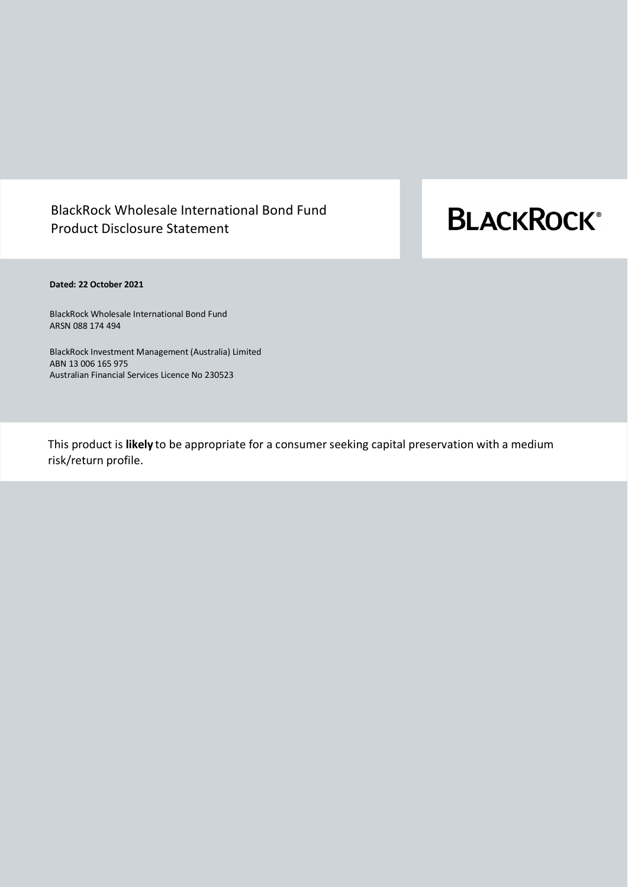# BlackRock Wholesale International Bond Fund Product Disclosure Statement

# **BLACKROCK®**

# **Dated: 22 October 2021**

BlackRock Wholesale International Bond Fund ARSN 088 174 494

BlackRock Investment Management (Australia) Limited ABN 13 006 165 975 Australian Financial Services Licence No 230523

This product is **likely** to be appropriate for a consumer seeking capital preservation with a medium risk/return profile.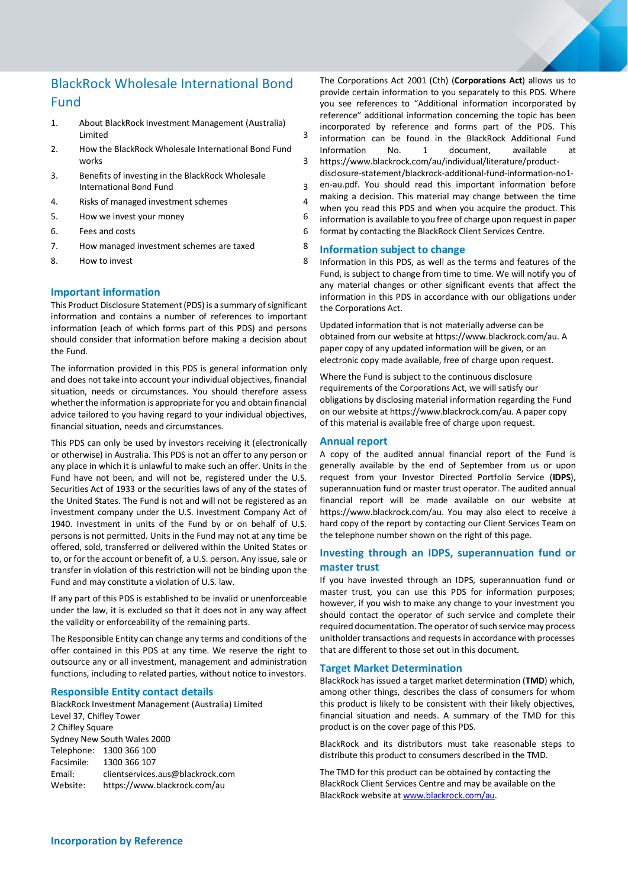# BlackRock Wholesale International Bond Fund

- 1. [About BlackRock Investment Management \(Australia\)](#page-2-0)  [Limited](#page-2-0) 3
- 2. [How the BlackRock Wholesale International Bond Fund](#page-2-1)  [works](#page-2-1) 3
- 3. [Benefits of investing in the BlackRock Wholesale](#page-2-2)  [International Bond Fund](#page-2-2) 3
- 4. [Risks of managed investment schemes](#page-3-0) 4
- 5. [How we invest your money](#page-5-0) 6
- 6. [Fees and costs](#page-5-1) 6
- 7. How managed investment schemes are taxed 8
- 8. How to invest 8

# **Important information**

This Product Disclosure Statement (PDS) is a summary of significant information and contains a number of references to important information (each of which forms part of this PDS) and persons should consider that information before making a decision about the Fund.

The information provided in this PDS is general information only and does not take into account your individual objectives, financial situation, needs or circumstances. You should therefore assess whether the information is appropriate for you and obtain financial advice tailored to you having regard to your individual objectives, financial situation, needs and circumstances.

This PDS can only be used by investors receiving it (electronically or otherwise) in Australia. This PDS is not an offer to any person or any place in which it is unlawful to make such an offer. Units in the Fund have not been, and will not be, registered under the U.S. Securities Act of 1933 or the securities laws of any of the states of the United States. The Fund is not and will not be registered as an investment company under the U.S. Investment Company Act of 1940. Investment in units of the Fund by or on behalf of U.S. persons is not permitted. Units in the Fund may not at any time be offered, sold, transferred or delivered within the United States or to, or for the account or benefit of, a U.S. person. Any issue, sale or transfer in violation of this restriction will not be binding upon the Fund and may constitute a violation of U.S. law.

If any part of this PDS is established to be invalid or unenforceable under the law, it is excluded so that it does not in any way affect the validity or enforceability of the remaining parts.

The Responsible Entity can change any terms and conditions of the offer contained in this PDS at any time. We reserve the right to outsource any or all investment, management and administration functions, including to related parties, without notice to investors.

# **Responsible Entity contact details**

BlackRock Investment Management (Australia) Limited Level 37, Chifley Tower 2 Chifley Square Sydney New South Wales 2000 Telephone: 1300 366 100 Facsimile: 1300 366 107 Email: clientservices.aus@blackrock.com Website: <https://www.blackrock.com/au>

The Corporations Act 2001 (Cth) (**Corporations Act**) allows us to provide certain information to you separately to this PDS. Where you see references to "Additional information incorporated by reference" additional information concerning the topic has been incorporated by reference and forms part of the PDS. This information can be found in the BlackRock Additional Fund Information No. 1 document, available at [https://www.blackrock.com/au/individual/literature/product](https://www.blackrock.com/au/individual/literature/product-disclosure-statement/blackrock-additional-fund-information-no1-en-au.pdf)[disclosure-statement/blackrock-additional-fund-information-no1](https://www.blackrock.com/au/individual/literature/product-disclosure-statement/blackrock-additional-fund-information-no1-en-au.pdf) [en-au.pdf.](https://www.blackrock.com/au/individual/literature/product-disclosure-statement/blackrock-additional-fund-information-no1-en-au.pdf) You should read this important information before making a decision. This material may change between the time

when you read this PDS and when you acquire the product. This information is available to you free of charge upon request in paper format by contacting the BlackRock Client Services Centre.

# **Information subject to change**

Information in this PDS, as well as the terms and features of the Fund, is subject to change from time to time. We will notify you of any material changes or other significant events that affect the information in this PDS in accordance with our obligations under the Corporations Act.

Updated information that is not materially adverse can be obtained from our website a[t https://www.blackrock.com/au.](https://www.blackrock.com/au) A paper copy of any updated information will be given, or an electronic copy made available, free of charge upon request.

Where the Fund is subject to the continuous disclosure requirements of the Corporations Act, we will satisfy our obligations by disclosing material information regarding the Fund on our website a[t https://www.blackrock.com/au.](https://www.blackrock.com/au) A paper copy of this material is available free of charge upon request.

# **Annual report**

A copy of the audited annual financial report of the Fund is generally available by the end of September from us or upon request from your Investor Directed Portfolio Service (**IDPS**), superannuation fund or master trust operator. The audited annual financial report will be made available on our website at [https://www.blackrock.com/au.](https://www.blackrock.com/au) You may also elect to receive a hard copy of the report by contacting our Client Services Team on the telephone number shown on the right of this page.

# **Investing through an IDPS, superannuation fund or master trust**

If you have invested through an IDPS, superannuation fund or master trust, you can use this PDS for information purposes; however, if you wish to make any change to your investment you should contact the operator of such service and complete their required documentation. The operator of such service may process unitholder transactions and requests in accordance with processes that are different to those set out in this document.

# **Target Market Determination**

BlackRock has issued a target market determination (**TMD**) which, among other things, describes the class of consumers for whom this product is likely to be consistent with their likely objectives, financial situation and needs. A summary of the TMD for this product is on the cover page of this PDS.

BlackRock and its distributors must take reasonable steps to distribute this product to consumers described in the TMD.

The TMD for this product can be obtained by contacting the BlackRock Client Services Centre and may be available on the BlackRock website a[t www.blackrock.com/au.](http://www.blackrock.com.au/)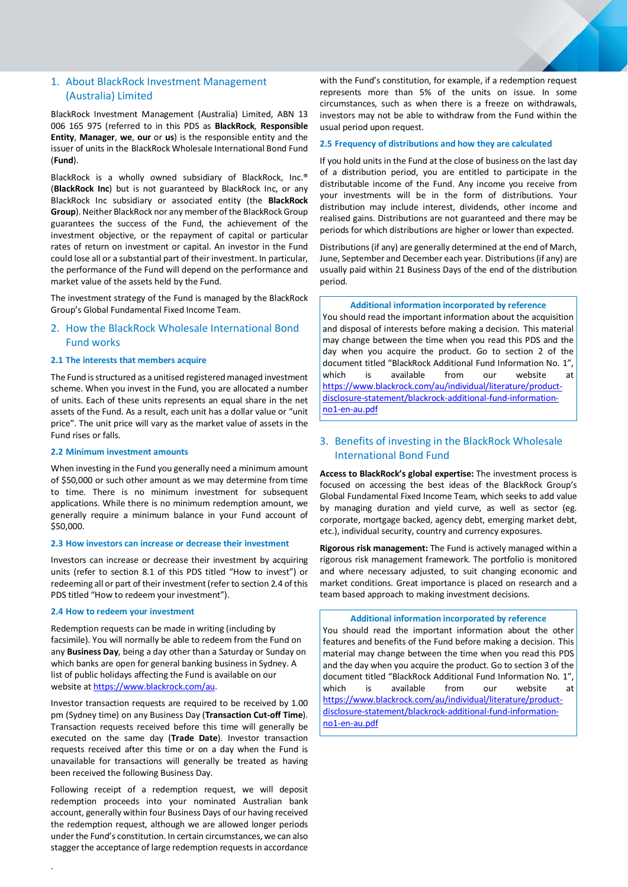# <span id="page-2-0"></span>1. About BlackRock Investment Management (Australia) Limited

BlackRock Investment Management (Australia) Limited, ABN 13 006 165 975 (referred to in this PDS as **BlackRock**, **Responsible Entity**, **Manager**, **we**, **our** or **us**) is the responsible entity and the issuer of units in the BlackRock Wholesale International Bond Fund (**Fund**).

BlackRock is a wholly owned subsidiary of BlackRock, Inc.® (**BlackRock Inc**) but is not guaranteed by BlackRock Inc, or any BlackRock Inc subsidiary or associated entity (the **BlackRock Group**). Neither BlackRock nor any member of the BlackRock Group guarantees the success of the Fund, the achievement of the investment objective, or the repayment of capital or particular rates of return on investment or capital. An investor in the Fund could lose all or a substantial part of their investment. In particular, the performance of the Fund will depend on the performance and market value of the assets held by the Fund.

The investment strategy of the Fund is managed by the BlackRock Group's Global Fundamental Fixed Income Team.

# <span id="page-2-1"></span>2. How the BlackRock Wholesale International Bond Fund works

#### **2.1 The interests that members acquire**

The Fund is structured as a unitised registered managed investment scheme. When you invest in the Fund, you are allocated a number of units. Each of these units represents an equal share in the net assets of the Fund. As a result, each unit has a dollar value or "unit price". The unit price will vary as the market value of assets in the Fund rises or falls.

#### **2.2 Minimum investment amounts**

When investing in the Fund you generally need a minimum amount of \$50,000 or such other amount as we may determine from time to time. There is no minimum investment for subsequent applications. While there is no minimum redemption amount, we generally require a minimum balance in your Fund account of \$50,000.

#### **2.3 How investors can increase or decrease their investment**

Investors can increase or decrease their investment by acquiring units (refer to section 8.1 of this PDS titled "How to invest") or redeeming all or part of their investment (refer to section 2.4 of this PDS titled "How to redeem your investment").

#### **2.4 How to redeem your investment**

Redemption requests can be made in writing (including by facsimile). You will normally be able to redeem from the Fund on any **Business Day**, being a day other than a Saturday or Sunday on which banks are open for general banking business in Sydney. A list of public holidays affecting the Fund is available on our website at https://www.blackrock.com/au.

Investor transaction requests are required to be received by 1.00 pm (Sydney time) on any Business Day (**Transaction Cut-off Time**). Transaction requests received before this time will generally be executed on the same day (**Trade Date**). Investor transaction requests received after this time or on a day when the Fund is unavailable for transactions will generally be treated as having been received the following Business Day.

Following receipt of a redemption request, we will deposit redemption proceeds into your nominated Australian bank account, generally within four Business Days of our having received the redemption request, although we are allowed longer periods under the Fund's constitution. In certain circumstances, we can also stagger the acceptance of large redemption requests in accordance

with the Fund's constitution, for example, if a redemption request represents more than 5% of the units on issue. In some circumstances, such as when there is a freeze on withdrawals, investors may not be able to withdraw from the Fund within the usual period upon request.

#### **2.5 Frequency of distributions and how they are calculated**

If you hold units in the Fund at the close of business on the last day of a distribution period, you are entitled to participate in the distributable income of the Fund. Any income you receive from your investments will be in the form of distributions. Your distribution may include interest, dividends, other income and realised gains. Distributions are not guaranteed and there may be periods for which distributions are higher or lower than expected.

Distributions(if any) are generally determined at the end of March, June, September and December each year. Distributions(if any) are usually paid within 21 Business Days of the end of the distribution period.

#### **Additional information incorporated by reference**

You should read the important information about the acquisition and disposal of interests before making a decision. This material may change between the time when you read this PDS and the day when you acquire the product. Go to section 2 of the document titled "BlackRock Additional Fund Information No. 1", which is available from our website at [https://www.blackrock.com/au/individual/literature/product](https://www.blackrock.com/au/individual/literature/product-disclosure-statement/blackrock-additional-fund-information-no1-en-au.pdf)[disclosure-statement/blackrock-additional-fund-information](https://www.blackrock.com/au/individual/literature/product-disclosure-statement/blackrock-additional-fund-information-no1-en-au.pdf)[no1-en-au.pdf](https://www.blackrock.com/au/individual/literature/product-disclosure-statement/blackrock-additional-fund-information-no1-en-au.pdf)

# <span id="page-2-2"></span>3. Benefits of investing in the BlackRock Wholesale International Bond Fund

**Access to BlackRock's global expertise:** The investment process is focused on accessing the best ideas of the BlackRock Group's Global Fundamental Fixed Income Team, which seeks to add value by managing duration and yield curve, as well as sector (eg. corporate, mortgage backed, agency debt, emerging market debt, etc.), individual security, country and currency exposures.

**Rigorous risk management:** The Fund is actively managed within a rigorous risk management framework. The portfolio is monitored and where necessary adjusted, to suit changing economic and market conditions. Great importance is placed on research and a team based approach to making investment decisions.

**Additional information incorporated by reference**

You should read the important information about the other features and benefits of the Fund before making a decision. This material may change between the time when you read this PDS and the day when you acquire the product. Go to section 3 of the document titled "BlackRock Additional Fund Information No. 1", which is available from our website at [https://www.blackrock.com/au/individual/literature/product](https://www.blackrock.com/au/individual/literature/product-disclosure-statement/blackrock-additional-fund-information-no1-en-au.pdf)[disclosure-statement/blackrock-additional-fund-information](https://www.blackrock.com/au/individual/literature/product-disclosure-statement/blackrock-additional-fund-information-no1-en-au.pdf)[no1-en-au.pdf](https://www.blackrock.com/au/individual/literature/product-disclosure-statement/blackrock-additional-fund-information-no1-en-au.pdf)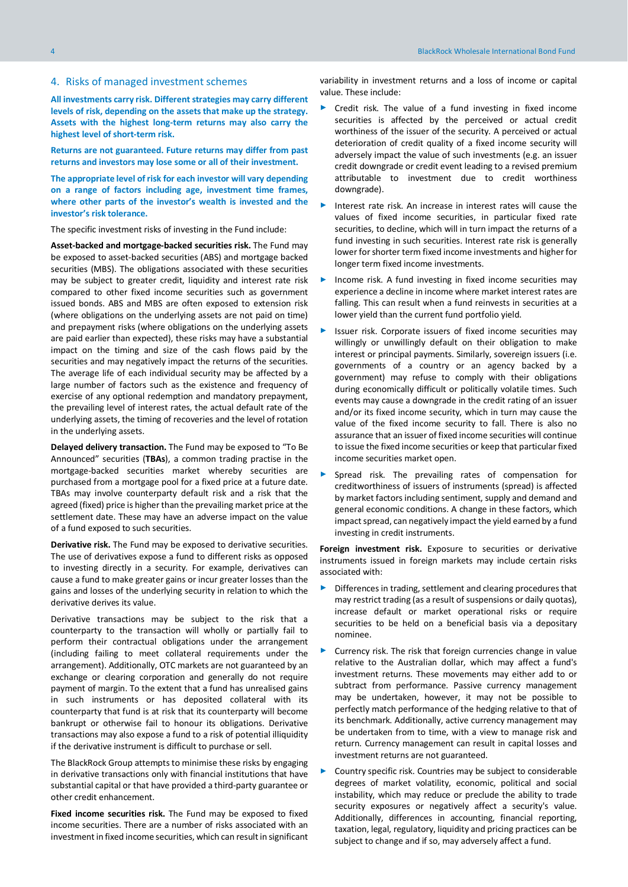<span id="page-3-0"></span>**All investments carry risk. Different strategies may carry different levels of risk, depending on the assets that make up the strategy. Assets with the highest long-term returns may also carry the highest level of short-term risk.**

**Returns are not guaranteed. Future returns may differ from past returns and investors may lose some or all of their investment.** 

**The appropriate level of risk for each investor will vary depending on a range of factors including age, investment time frames, where other parts of the investor's wealth is invested and the investor's risk tolerance.**

The specific investment risks of investing in the Fund include:

**Asset-backed and mortgage-backed securities risk.** The Fund may be exposed to asset-backed securities (ABS) and mortgage backed securities (MBS). The obligations associated with these securities may be subject to greater credit, liquidity and interest rate risk compared to other fixed income securities such as government issued bonds. ABS and MBS are often exposed to extension risk (where obligations on the underlying assets are not paid on time) and prepayment risks (where obligations on the underlying assets are paid earlier than expected), these risks may have a substantial impact on the timing and size of the cash flows paid by the securities and may negatively impact the returns of the securities. The average life of each individual security may be affected by a large number of factors such as the existence and frequency of exercise of any optional redemption and mandatory prepayment, the prevailing level of interest rates, the actual default rate of the underlying assets, the timing of recoveries and the level of rotation in the underlying assets.

**Delayed delivery transaction.** The Fund may be exposed to "To Be Announced" securities (**TBAs**), a common trading practise in the mortgage-backed securities market whereby securities are purchased from a mortgage pool for a fixed price at a future date. TBAs may involve counterparty default risk and a risk that the agreed (fixed) price is higher than the prevailing market price at the settlement date. These may have an adverse impact on the value of a fund exposed to such securities.

**Derivative risk.** The Fund may be exposed to derivative securities. The use of derivatives expose a fund to different risks as opposed to investing directly in a security. For example, derivatives can cause a fund to make greater gains or incur greater losses than the gains and losses of the underlying security in relation to which the derivative derives its value.

Derivative transactions may be subject to the risk that a counterparty to the transaction will wholly or partially fail to perform their contractual obligations under the arrangement (including failing to meet collateral requirements under the arrangement). Additionally, OTC markets are not guaranteed by an exchange or clearing corporation and generally do not require payment of margin. To the extent that a fund has unrealised gains in such instruments or has deposited collateral with its counterparty that fund is at risk that its counterparty will become bankrupt or otherwise fail to honour its obligations. Derivative transactions may also expose a fund to a risk of potential illiquidity if the derivative instrument is difficult to purchase or sell.

The BlackRock Group attempts to minimise these risks by engaging in derivative transactions only with financial institutions that have substantial capital or that have provided a third-party guarantee or other credit enhancement.

**Fixed income securities risk.** The Fund may be exposed to fixed income securities. There are a number of risks associated with an investment in fixed income securities, which can result in significant

variability in investment returns and a loss of income or capital value. These include:

- ► Credit risk. The value of a fund investing in fixed income securities is affected by the perceived or actual credit worthiness of the issuer of the security. A perceived or actual deterioration of credit quality of a fixed income security will adversely impact the value of such investments (e.g. an issuer credit downgrade or credit event leading to a revised premium attributable to investment due to credit worthiness downgrade).
- Interest rate risk. An increase in interest rates will cause the values of fixed income securities, in particular fixed rate securities, to decline, which will in turn impact the returns of a fund investing in such securities. Interest rate risk is generally lower for shorter term fixed income investments and higher for longer term fixed income investments.
- Income risk. A fund investing in fixed income securities may experience a decline in income where market interest rates are falling. This can result when a fund reinvests in securities at a lower yield than the current fund portfolio yield.
- Issuer risk. Corporate issuers of fixed income securities may willingly or unwillingly default on their obligation to make interest or principal payments. Similarly, sovereign issuers (i.e. governments of a country or an agency backed by a government) may refuse to comply with their obligations during economically difficult or politically volatile times. Such events may cause a downgrade in the credit rating of an issuer and/or its fixed income security, which in turn may cause the value of the fixed income security to fall. There is also no assurance that an issuer of fixed income securities will continue to issue the fixed income securities or keep that particular fixed income securities market open.
- Spread risk. The prevailing rates of compensation for creditworthiness of issuers of instruments (spread) is affected by market factors including sentiment, supply and demand and general economic conditions. A change in these factors, which impact spread, can negatively impact the yield earned by a fund investing in credit instruments.

**Foreign investment risk.** Exposure to securities or derivative instruments issued in foreign markets may include certain risks associated with:

- Differences in trading, settlement and clearing procedures that may restrict trading (as a result of suspensions or daily quotas), increase default or market operational risks or require securities to be held on a beneficial basis via a depositary nominee.
- Currency risk. The risk that foreign currencies change in value relative to the Australian dollar, which may affect a fund's investment returns. These movements may either add to or subtract from performance. Passive currency management may be undertaken, however, it may not be possible to perfectly match performance of the hedging relative to that of its benchmark. Additionally, active currency management may be undertaken from to time, with a view to manage risk and return. Currency management can result in capital losses and investment returns are not guaranteed.
- Country specific risk. Countries may be subject to considerable degrees of market volatility, economic, political and social instability, which may reduce or preclude the ability to trade security exposures or negatively affect a security's value. Additionally, differences in accounting, financial reporting, taxation, legal, regulatory, liquidity and pricing practices can be subject to change and if so, may adversely affect a fund.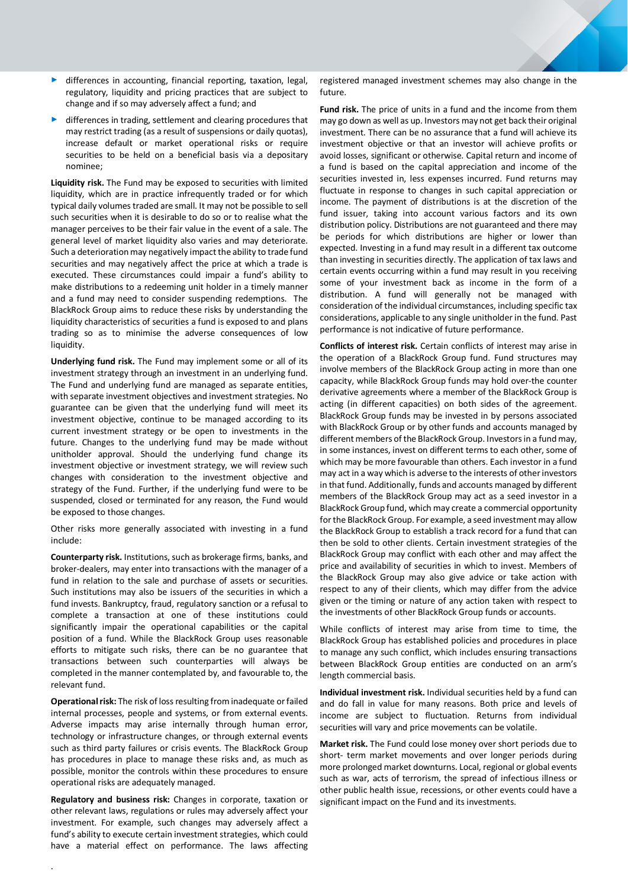- ► differences in accounting, financial reporting, taxation, legal, regulatory, liquidity and pricing practices that are subject to change and if so may adversely affect a fund; and
- differences in trading, settlement and clearing procedures that may restrict trading (as a result of suspensions or daily quotas), increase default or market operational risks or require securities to be held on a beneficial basis via a depositary nominee;

**Liquidity risk.** The Fund may be exposed to securities with limited liquidity, which are in practice infrequently traded or for which typical daily volumes traded are small. It may not be possible to sell such securities when it is desirable to do so or to realise what the manager perceives to be their fair value in the event of a sale. The general level of market liquidity also varies and may deteriorate. Such a deterioration may negatively impact the ability to trade fund securities and may negatively affect the price at which a trade is executed. These circumstances could impair a fund's ability to make distributions to a redeeming unit holder in a timely manner and a fund may need to consider suspending redemptions. The BlackRock Group aims to reduce these risks by understanding the liquidity characteristics of securities a fund is exposed to and plans trading so as to minimise the adverse consequences of low liquidity.

**Underlying fund risk.** The Fund may implement some or all of its investment strategy through an investment in an underlying fund. The Fund and underlying fund are managed as separate entities, with separate investment objectives and investment strategies. No guarantee can be given that the underlying fund will meet its investment objective, continue to be managed according to its current investment strategy or be open to investments in the future. Changes to the underlying fund may be made without unitholder approval. Should the underlying fund change its investment objective or investment strategy, we will review such changes with consideration to the investment objective and strategy of the Fund. Further, if the underlying fund were to be suspended, closed or terminated for any reason, the Fund would be exposed to those changes.

Other risks more generally associated with investing in a fund include:

**Counterparty risk.** Institutions, such as brokerage firms, banks, and broker-dealers, may enter into transactions with the manager of a fund in relation to the sale and purchase of assets or securities. Such institutions may also be issuers of the securities in which a fund invests. Bankruptcy, fraud, regulatory sanction or a refusal to complete a transaction at one of these institutions could significantly impair the operational capabilities or the capital position of a fund. While the BlackRock Group uses reasonable efforts to mitigate such risks, there can be no guarantee that transactions between such counterparties will always be completed in the manner contemplated by, and favourable to, the relevant fund.

**Operational risk:** The risk of loss resulting from inadequate or failed internal processes, people and systems, or from external events. Adverse impacts may arise internally through human error, technology or infrastructure changes, or through external events such as third party failures or crisis events. The BlackRock Group has procedures in place to manage these risks and, as much as possible, monitor the controls within these procedures to ensure operational risks are adequately managed.

**Regulatory and business risk:** Changes in corporate, taxation or other relevant laws, regulations or rules may adversely affect your investment. For example, such changes may adversely affect a fund's ability to execute certain investment strategies, which could have a material effect on performance. The laws affecting registered managed investment schemes may also change in the future.

**Fund risk.** The price of units in a fund and the income from them may go down as well as up. Investors may not get back their original investment. There can be no assurance that a fund will achieve its investment objective or that an investor will achieve profits or avoid losses, significant or otherwise. Capital return and income of a fund is based on the capital appreciation and income of the securities invested in, less expenses incurred. Fund returns may fluctuate in response to changes in such capital appreciation or income. The payment of distributions is at the discretion of the fund issuer, taking into account various factors and its own distribution policy. Distributions are not guaranteed and there may be periods for which distributions are higher or lower than expected. Investing in a fund may result in a different tax outcome than investing in securities directly. The application of tax laws and certain events occurring within a fund may result in you receiving some of your investment back as income in the form of a distribution. A fund will generally not be managed with consideration of the individual circumstances, including specific tax considerations, applicable to any single unitholder in the fund. Past performance is not indicative of future performance.

**Conflicts of interest risk.** Certain conflicts of interest may arise in the operation of a BlackRock Group fund. Fund structures may involve members of the BlackRock Group acting in more than one capacity, while BlackRock Group funds may hold over-the counter derivative agreements where a member of the BlackRock Group is acting (in different capacities) on both sides of the agreement. BlackRock Group funds may be invested in by persons associated with BlackRock Group or by other funds and accounts managed by different members of the BlackRock Group. Investors in a fund may, in some instances, invest on different terms to each other, some of which may be more favourable than others. Each investor in a fund may act in a way which is adverse to the interests of other investors in that fund. Additionally, funds and accounts managed by different members of the BlackRock Group may act as a seed investor in a BlackRock Group fund, which may create a commercial opportunity for the BlackRock Group. For example, a seed investment may allow the BlackRock Group to establish a track record for a fund that can then be sold to other clients. Certain investment strategies of the BlackRock Group may conflict with each other and may affect the price and availability of securities in which to invest. Members of the BlackRock Group may also give advice or take action with respect to any of their clients, which may differ from the advice given or the timing or nature of any action taken with respect to the investments of other BlackRock Group funds or accounts.

While conflicts of interest may arise from time to time, the BlackRock Group has established policies and procedures in place to manage any such conflict, which includes ensuring transactions between BlackRock Group entities are conducted on an arm's length commercial basis.

**Individual investment risk.** Individual securities held by a fund can and do fall in value for many reasons. Both price and levels of income are subject to fluctuation. Returns from individual securities will vary and price movements can be volatile.

**Market risk.** The Fund could lose money over short periods due to short- term market movements and over longer periods during more prolonged market downturns. Local, regional or global events such as war, acts of terrorism, the spread of infectious illness or other public health issue, recessions, or other events could have a significant impact on the Fund and its investments.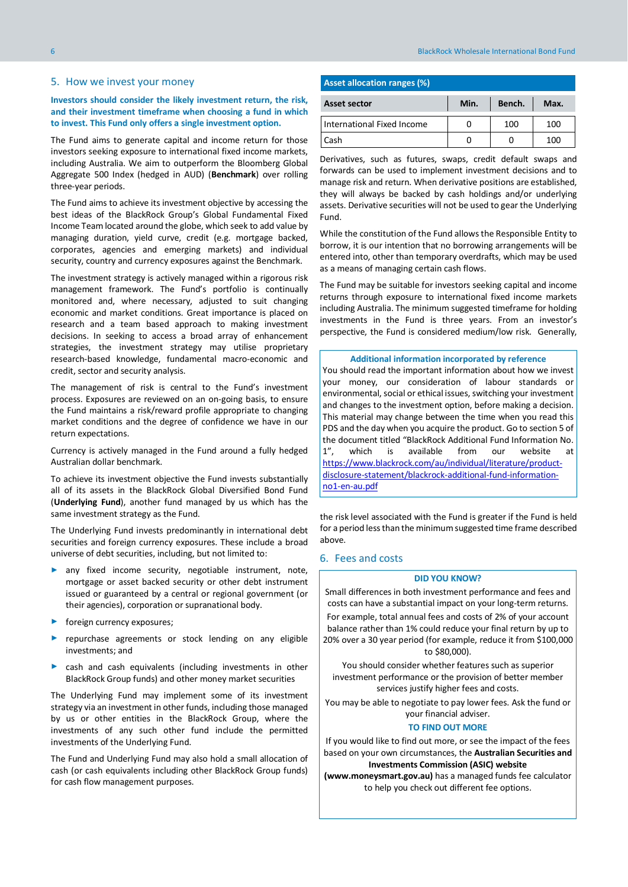#### <span id="page-5-0"></span>5. How we invest your money

# **Investors should consider the likely investment return, the risk, and their investment timeframe when choosing a fund in which to invest. This Fund only offers a single investment option.**

The Fund aims to generate capital and income return for those investors seeking exposure to international fixed income markets, including Australia. We aim to outperform the Bloomberg Global Aggregate 500 Index (hedged in AUD) (**Benchmark**) over rolling three-year periods.

The Fund aims to achieve its investment objective by accessing the best ideas of the BlackRock Group's Global Fundamental Fixed Income Team located around the globe, which seek to add value by managing duration, yield curve, credit (e.g. mortgage backed, corporates, agencies and emerging markets) and individual security, country and currency exposures against the Benchmark.

The investment strategy is actively managed within a rigorous risk management framework. The Fund's portfolio is continually monitored and, where necessary, adjusted to suit changing economic and market conditions. Great importance is placed on research and a team based approach to making investment decisions. In seeking to access a broad array of enhancement strategies, the investment strategy may utilise proprietary research-based knowledge, fundamental macro-economic and credit, sector and security analysis.

The management of risk is central to the Fund's investment process. Exposures are reviewed on an on-going basis, to ensure the Fund maintains a risk/reward profile appropriate to changing market conditions and the degree of confidence we have in our return expectations.

Currency is actively managed in the Fund around a fully hedged Australian dollar benchmark.

To achieve its investment objective the Fund invests substantially all of its assets in the BlackRock Global Diversified Bond Fund (**Underlying Fund**), another fund managed by us which has the same investment strategy as the Fund.

The Underlying Fund invests predominantly in international debt securities and foreign currency exposures. These include a broad universe of debt securities, including, but not limited to:

- ► any fixed income security, negotiable instrument, note, mortgage or asset backed security or other debt instrument issued or guaranteed by a central or regional government (or their agencies), corporation or supranational body.
- ► foreign currency exposures;
- ▶ repurchase agreements or stock lending on any eligible investments; and
- cash and cash equivalents (including investments in other BlackRock Group funds) and other money market securities

The Underlying Fund may implement some of its investment strategy via an investment in other funds, including those managed by us or other entities in the BlackRock Group, where the investments of any such other fund include the permitted investments of the Underlying Fund.

The Fund and Underlying Fund may also hold a small allocation of cash (or cash equivalents including other BlackRock Group funds) for cash flow management purposes.

# **Asset allocation ranges (%)**

| <b>Asset sector</b>        | Min. | Bench. | Max. |
|----------------------------|------|--------|------|
| International Fixed Income |      | 100    | 100  |
| Cash                       |      |        | 100  |

Derivatives, such as futures, swaps, credit default swaps and forwards can be used to implement investment decisions and to manage risk and return. When derivative positions are established, they will always be backed by cash holdings and/or underlying assets. Derivative securities will not be used to gear the Underlying Fund.

While the constitution of the Fund allows the Responsible Entity to borrow, it is our intention that no borrowing arrangements will be entered into, other than temporary overdrafts, which may be used as a means of managing certain cash flows.

The Fund may be suitable for investors seeking capital and income returns through exposure to international fixed income markets including Australia. The minimum suggested timeframe for holding investments in the Fund is three years. From an investor's perspective, the Fund is considered medium/low risk. Generally,

#### **Additional information incorporated by reference**

You should read the important information about how we invest your money, our consideration of labour standards or environmental, social or ethical issues, switching your investment and changes to the investment option, before making a decision. This material may change between the time when you read this PDS and the day when you acquire the product. Go to section 5 of the document titled "BlackRock Additional Fund Information No. 1", which is available from our website at [https://www.blackrock.com/au/individual/literature/product](https://www.blackrock.com/au/individual/literature/product-disclosure-statement/blackrock-additional-fund-information-no1-en-au.pdf)[disclosure-statement/blackrock-additional-fund-information](https://www.blackrock.com/au/individual/literature/product-disclosure-statement/blackrock-additional-fund-information-no1-en-au.pdf)[no1-en-au.pdf](https://www.blackrock.com/au/individual/literature/product-disclosure-statement/blackrock-additional-fund-information-no1-en-au.pdf)

the risk level associated with the Fund is greater if the Fund is held for a period less than the minimum suggested time frame described above.

#### <span id="page-5-1"></span>6. Fees and costs

#### **DID YOU KNOW?**

Small differences in both investment performance and fees and costs can have a substantial impact on your long-term returns.

For example, total annual fees and costs of 2% of your account balance rather than 1% could reduce your final return by up to 20% over a 30 year period (for example, reduce it from \$100,000 to \$80,000).

You should consider whether features such as superior investment performance or the provision of better member services justify higher fees and costs.

You may be able to negotiate to pay lower fees. Ask the fund or your financial adviser.

#### **TO FIND OUT MORE**

If you would like to find out more, or see the impact of the fees based on your own circumstances, the **Australian Securities and Investments Commission (ASIC) website** 

**(www.moneysmart.gov.au)** has a managed funds fee calculator to help you check out different fee options.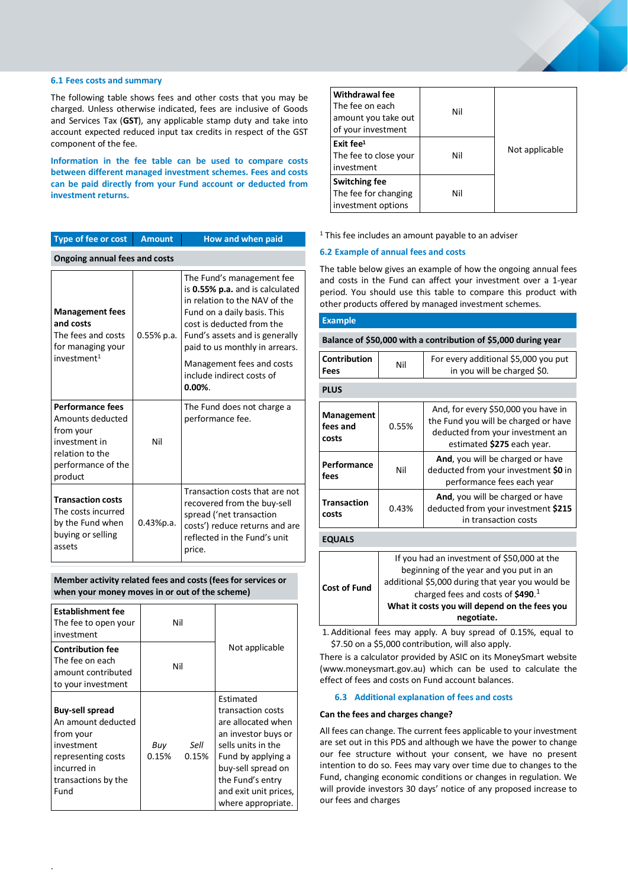#### **6.1 Fees costs and summary**

The following table shows fees and other costs that you may be charged. Unless otherwise indicated, fees are inclusive of Goods and Services Tax (**GST**), any applicable stamp duty and take into account expected reduced input tax credits in respect of the GST component of the fee.

**Information in the fee table can be used to compare costs between different managed investment schemes. Fees and costs can be paid directly from your Fund account or deducted from investment returns.**

| Type of fee or cost                                                                                                           | <b>Amount</b> | How and when paid                                                                                                                                                                                                             |  |
|-------------------------------------------------------------------------------------------------------------------------------|---------------|-------------------------------------------------------------------------------------------------------------------------------------------------------------------------------------------------------------------------------|--|
| <b>Ongoing annual fees and costs</b>                                                                                          |               |                                                                                                                                                                                                                               |  |
| <b>Management fees</b><br>and costs<br>The fees and costs<br>for managing your<br>investment <sup>1</sup>                     | $0.55%$ p.a.  | The Fund's management fee<br>is 0.55% p.a. and is calculated<br>in relation to the NAV of the<br>Fund on a daily basis. This<br>cost is deducted from the<br>Fund's assets and is generally<br>paid to us monthly in arrears. |  |
|                                                                                                                               |               | Management fees and costs<br>include indirect costs of<br>$0.00\%$ .                                                                                                                                                          |  |
| <b>Performance fees</b><br>Amounts deducted<br>from your<br>investment in<br>relation to the<br>performance of the<br>product | Nil           | The Fund does not charge a<br>performance fee.                                                                                                                                                                                |  |
| <b>Transaction costs</b><br>The costs incurred<br>by the Fund when<br>buying or selling<br>assets                             | 0.43%p.a.     | Transaction costs that are not<br>recovered from the buy-sell<br>spread ('net transaction<br>costs') reduce returns and are<br>reflected in the Fund's unit<br>price.                                                         |  |

**Member activity related fees and costs (fees for services or when your money moves in or out of the scheme)**

| <b>Establishment fee</b><br>The fee to open your<br>investment                                                                              |              | Nil           |                                                                                                                                                                                                                         |
|---------------------------------------------------------------------------------------------------------------------------------------------|--------------|---------------|-------------------------------------------------------------------------------------------------------------------------------------------------------------------------------------------------------------------------|
| <b>Contribution fee</b><br>The fee on each<br>amount contributed<br>to your investment                                                      | Nil          |               | Not applicable                                                                                                                                                                                                          |
| <b>Buy-sell spread</b><br>An amount deducted<br>from your<br>investment<br>representing costs<br>incurred in<br>transactions by the<br>Fund | Buy<br>0.15% | Sell<br>0.15% | <b>Fstimated</b><br>transaction costs<br>are allocated when<br>an investor buys or<br>sells units in the<br>Fund by applying a<br>buy-sell spread on<br>the Fund's entry<br>and exit unit prices,<br>where appropriate. |

| <b>Withdrawal fee</b><br>The fee on each<br>amount you take out<br>of your investment | Nil |                |
|---------------------------------------------------------------------------------------|-----|----------------|
| Exit fee $1$<br>The fee to close your<br>investment                                   | Nil | Not applicable |
| <b>Switching fee</b><br>The fee for changing<br>investment options                    | Nil |                |

<sup>1</sup> This fee includes an amount payable to an adviser

# **6.2 Example of annual fees and costs**

The table below gives an example of how the ongoing annual fees and costs in the Fund can affect your investment over a 1-year period. You should use this table to compare this product with other products offered by managed investment schemes.

#### **Example**

**Balance of \$50,000 with a contribution of \$5,000 during year**

| <b>Contribution</b><br>Fees     | Nil   | For every additional \$5,000 you put<br>in you will be charged \$0.                                                                           |
|---------------------------------|-------|-----------------------------------------------------------------------------------------------------------------------------------------------|
| <b>PLUS</b>                     |       |                                                                                                                                               |
| Management<br>fees and<br>costs | 0.55% | And, for every \$50,000 you have in<br>the Fund you will be charged or have<br>deducted from your investment an<br>estimated \$275 each year. |
| Performance<br>fees             | Nil   | And, you will be charged or have<br>deducted from your investment \$0 in<br>performance fees each year                                        |
| <b>Transaction</b><br>costs     | 0.43% | And, you will be charged or have<br>deducted from your investment \$215<br>in transaction costs                                               |
| <b>EQUALS</b>                   |       |                                                                                                                                               |
|                                 |       | If you had an investment of \$50,000 at the                                                                                                   |

|                     | negotiate.                                       |  |
|---------------------|--------------------------------------------------|--|
|                     | What it costs you will depend on the fees you    |  |
| <b>Cost of Fund</b> | charged fees and costs of $$490.1$               |  |
|                     | additional \$5,000 during that year you would be |  |
|                     | beginning of the year and you put in an          |  |
|                     | The you field all investment or 350,000 at the   |  |

1. Additional fees may apply. A buy spread of 0.15%, equal to \$7.50 on a \$5,000 contribution, will also apply.

There is a calculator provided by ASIC on its MoneySmart website (www.moneysmart.gov.au) which can be used to calculate the effect of fees and costs on Fund account balances.

# **6.3 Additional explanation of fees and costs**

#### **Can the fees and charges change?**

All fees can change. The current fees applicable to your investment are set out in this PDS and although we have the power to change our fee structure without your consent, we have no present intention to do so. Fees may vary over time due to changes to the Fund, changing economic conditions or changes in regulation. We will provide investors 30 days' notice of any proposed increase to our fees and charges